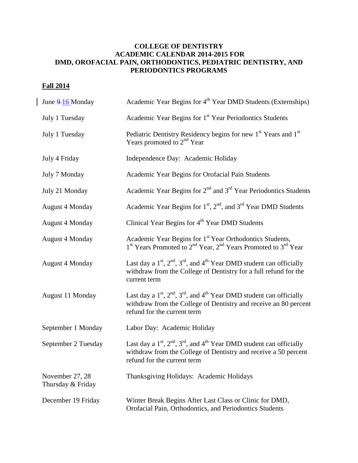## **COLLEGE OF DENTISTRY ACADEMIC CALENDAR 2014-2015 FOR DMD, OROFACIAL PAIN, ORTHODONTICS, PEDIATRIC DENTISTRY, AND PERIODONTICS PROGRAMS**

## **Fall 2014**

| June 9-16 Monday                     | Academic Year Begins for 4 <sup>th</sup> Year DMD Students (Externships)                                                                                                               |
|--------------------------------------|----------------------------------------------------------------------------------------------------------------------------------------------------------------------------------------|
| July 1 Tuesday                       | Academic Year Begins for 1 <sup>st</sup> Year Periodontics Students                                                                                                                    |
| July 1 Tuesday                       | Pediatric Dentistry Residency begins for new 1 <sup>st</sup> Years and 1 <sup>st</sup><br>Years promoted to 2 <sup>nd</sup> Year                                                       |
| July 4 Friday                        | Independence Day: Academic Holiday                                                                                                                                                     |
| July 7 Monday                        | Academic Year Begins for Orofacial Pain Students                                                                                                                                       |
| July 21 Monday                       | Academic Year Begins for $2nd$ and $3rd$ Year Periodontics Students                                                                                                                    |
| <b>August 4 Monday</b>               | Academic Year Begins for 1 <sup>st</sup> , 2 <sup>nd</sup> , and 3 <sup>rd</sup> Year DMD Students                                                                                     |
| <b>August 4 Monday</b>               | Clinical Year Begins for 4 <sup>th</sup> Year DMD Students                                                                                                                             |
| <b>August 4 Monday</b>               | Academic Year Begins for 1 <sup>st</sup> Year Orthodontics Students,<br>1 <sup>st</sup> Years Promoted to 2 <sup>nd</sup> Year, 2 <sup>nd</sup> Years Promoted to 3 <sup>rd</sup> Year |
| <b>August 4 Monday</b>               | Last day a $1st$ , $2nd$ , $3rd$ , and $4th$ Year DMD student can officially<br>withdraw from the College of Dentistry for a full refund for the<br>current term                       |
| August 11 Monday                     | Last day a $1st$ , $2nd$ , $3rd$ , and $4th$ Year DMD student can officially<br>withdraw from the College of Dentistry and receive an 80 percent<br>refund for the current term        |
| September 1 Monday                   | Labor Day: Academic Holiday                                                                                                                                                            |
| September 2 Tuesday                  | Last day a $1st$ , $2nd$ , $3rd$ , and $4th$ Year DMD student can officially<br>withdraw from the College of Dentistry and receive a 50 percent<br>refund for the current term         |
| November 27, 28<br>Thursday & Friday | Thanksgiving Holidays: Academic Holidays                                                                                                                                               |
| December 19 Friday                   | Winter Break Begins After Last Class or Clinic for DMD,<br>Orofacial Pain, Orthodontics, and Periodontics Students                                                                     |